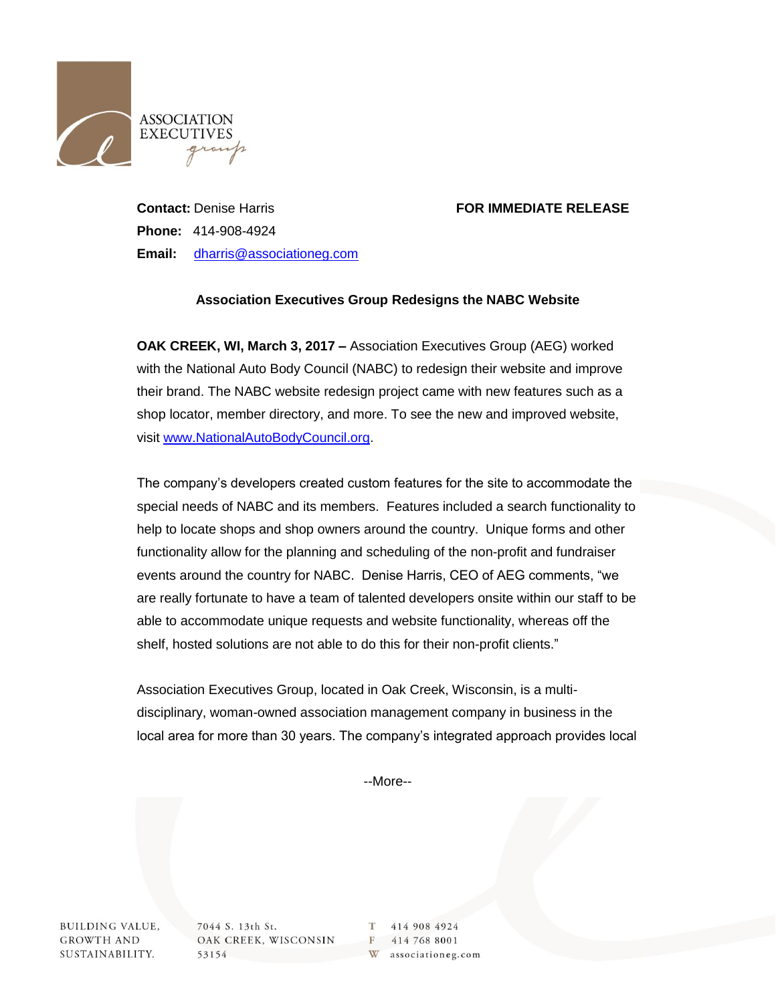

## **Contact:** Denise Harris **FOR IMMEDIATE RELEASE**

**Phone:** 414-908-4924 **Email:** [dharris@associationeg.com](mailto:dharris@associationeg.com)

## **Association Executives Group Redesigns the NABC Website**

**OAK CREEK, WI, March 3, 2017 –** Association Executives Group (AEG) worked with the National Auto Body Council (NABC) to redesign their website and improve their brand. The NABC website redesign project came with new features such as a shop locator, member directory, and more. To see the new and improved website, visit [www.NationalAutoBodyCouncil.org.](file://blofeld.techenterprises.net/users/AEG/MARKETING/Press%20Releases/2019%20Reformatted%20for%20AEG%20Website-CAM%20071519/www.NationalAutoBodyCouncil.org)

The company's developers created custom features for the site to accommodate the special needs of NABC and its members. Features included a search functionality to help to locate shops and shop owners around the country. Unique forms and other functionality allow for the planning and scheduling of the non-profit and fundraiser events around the country for NABC. Denise Harris, CEO of AEG comments, "we are really fortunate to have a team of talented developers onsite within our staff to be able to accommodate unique requests and website functionality, whereas off the shelf, hosted solutions are not able to do this for their non-profit clients."

Association Executives Group, located in Oak Creek, Wisconsin, is a multidisciplinary, woman-owned association management company in business in the local area for more than 30 years. The company's integrated approach provides local

--More--

**BUILDING VALUE, GROWTH AND** SUSTAINABILITY.

7044 S. 13th St. OAK CREEK, WISCONSIN 53154

T 414 908 4924 F 414 768 8001 W associationeg.com